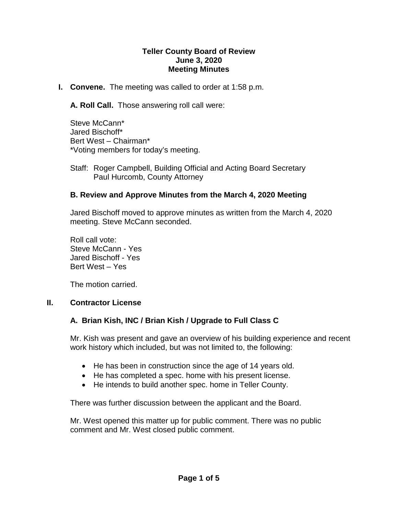#### **Teller County Board of Review June 3, 2020 Meeting Minutes**

**I. Convene.** The meeting was called to order at 1:58 p.m.

**A. Roll Call.** Those answering roll call were:

Steve McCann\* Jared Bischoff\* Bert West – Chairman\* \*Voting members for today's meeting.

Staff: Roger Campbell, Building Official and Acting Board Secretary Paul Hurcomb, County Attorney

### **B. Review and Approve Minutes from the March 4, 2020 Meeting**

Jared Bischoff moved to approve minutes as written from the March 4, 2020 meeting. Steve McCann seconded.

Roll call vote: Steve McCann - Yes Jared Bischoff - Yes Bert West – Yes

The motion carried.

### **II. Contractor License**

### **A. Brian Kish, INC / Brian Kish / Upgrade to Full Class C**

Mr. Kish was present and gave an overview of his building experience and recent work history which included, but was not limited to, the following:

- He has been in construction since the age of 14 years old.
- He has completed a spec. home with his present license.
- He intends to build another spec. home in Teller County.

There was further discussion between the applicant and the Board.

Mr. West opened this matter up for public comment. There was no public comment and Mr. West closed public comment.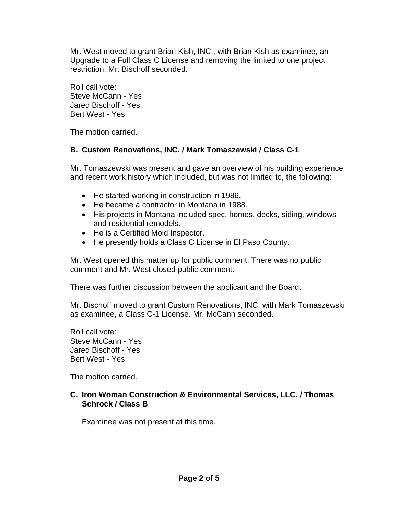Mr. West moved to grant Brian Kish, INC., with Brian Kish as examinee, an Upgrade to a Full Class C License and removing the limited to one project restriction. Mr. Bischoff seconded.

Roll call vote: Steve McCann - Yes Jared Bischoff - Yes Bert West - Yes

The motion carried.

# **B. Custom Renovations, INC. / Mark Tomaszewski / Class C-1**

Mr. Tomaszewski was present and gave an overview of his building experience and recent work history which included, but was not limited to, the following:

- He started working in construction in 1986.
- He became a contractor in Montana in 1988.
- His projects in Montana included spec. homes, decks, siding, windows and residential remodels.
- He is a Certified Mold Inspector.
- He presently holds a Class C License in El Paso County.

Mr. West opened this matter up for public comment. There was no public comment and Mr. West closed public comment.

There was further discussion between the applicant and the Board.

Mr. Bischoff moved to grant Custom Renovations, INC. with Mark Tomaszewski as examinee, a Class C-1 License. Mr. McCann seconded.

Roll call vote: Steve McCann - Yes Jared Bischoff - Yes Bert West - Yes

The motion carried.

### **C. Iron Woman Construction & Environmental Services, LLC. / Thomas Schrock / Class B**

Examinee was not present at this time.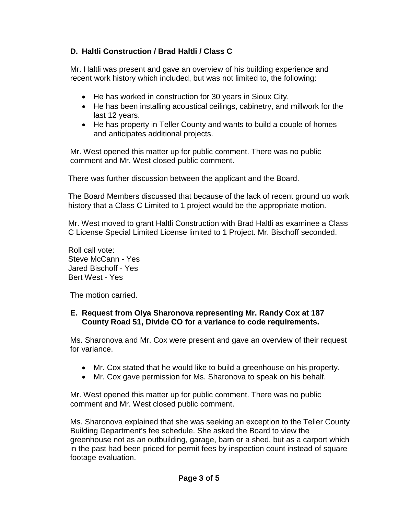# **D. Haltli Construction / Brad Haltli / Class C**

Mr. Haltli was present and gave an overview of his building experience and recent work history which included, but was not limited to, the following:

- He has worked in construction for 30 years in Sioux City.
- He has been installing acoustical ceilings, cabinetry, and millwork for the last 12 years.
- He has property in Teller County and wants to build a couple of homes and anticipates additional projects.

Mr. West opened this matter up for public comment. There was no public comment and Mr. West closed public comment.

There was further discussion between the applicant and the Board.

The Board Members discussed that because of the lack of recent ground up work history that a Class C Limited to 1 project would be the appropriate motion.

Mr. West moved to grant Haltli Construction with Brad Haltli as examinee a Class C License Special Limited License limited to 1 Project. Mr. Bischoff seconded.

Roll call vote: Steve McCann - Yes Jared Bischoff - Yes Bert West - Yes

The motion carried.

### **E. Request from Olya Sharonova representing Mr. Randy Cox at 187 County Road 51, Divide CO for a variance to code requirements.**

Ms. Sharonova and Mr. Cox were present and gave an overview of their request for variance.

- Mr. Cox stated that he would like to build a greenhouse on his property.
- Mr. Cox gave permission for Ms. Sharonova to speak on his behalf.

Mr. West opened this matter up for public comment. There was no public comment and Mr. West closed public comment.

Ms. Sharonova explained that she was seeking an exception to the Teller County Building Department's fee schedule. She asked the Board to view the greenhouse not as an outbuilding, garage, barn or a shed, but as a carport which in the past had been priced for permit fees by inspection count instead of square footage evaluation.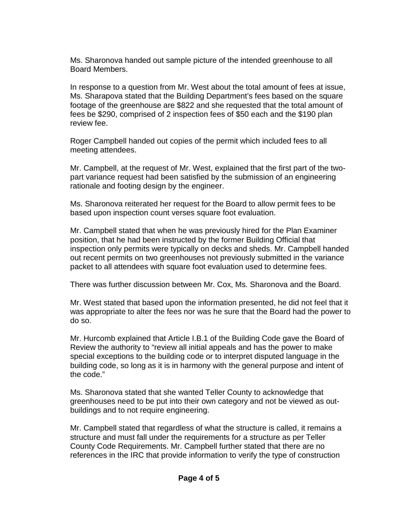Ms. Sharonova handed out sample picture of the intended greenhouse to all Board Members.

In response to a question from Mr. West about the total amount of fees at issue, Ms. Sharapova stated that the Building Department's fees based on the square footage of the greenhouse are \$822 and she requested that the total amount of fees be \$290, comprised of 2 inspection fees of \$50 each and the \$190 plan review fee.

Roger Campbell handed out copies of the permit which included fees to all meeting attendees.

Mr. Campbell, at the request of Mr. West, explained that the first part of the twopart variance request had been satisfied by the submission of an engineering rationale and footing design by the engineer.

Ms. Sharonova reiterated her request for the Board to allow permit fees to be based upon inspection count verses square foot evaluation.

Mr. Campbell stated that when he was previously hired for the Plan Examiner position, that he had been instructed by the former Building Official that inspection only permits were typically on decks and sheds. Mr. Campbell handed out recent permits on two greenhouses not previously submitted in the variance packet to all attendees with square foot evaluation used to determine fees.

There was further discussion between Mr. Cox, Ms. Sharonova and the Board.

Mr. West stated that based upon the information presented, he did not feel that it was appropriate to alter the fees nor was he sure that the Board had the power to do so.

Mr. Hurcomb explained that Article I.B.1 of the Building Code gave the Board of Review the authority to "review all initial appeals and has the power to make special exceptions to the building code or to interpret disputed language in the building code, so long as it is in harmony with the general purpose and intent of the code."

Ms. Sharonova stated that she wanted Teller County to acknowledge that greenhouses need to be put into their own category and not be viewed as outbuildings and to not require engineering.

Mr. Campbell stated that regardless of what the structure is called, it remains a structure and must fall under the requirements for a structure as per Teller County Code Requirements. Mr. Campbell further stated that there are no references in the IRC that provide information to verify the type of construction